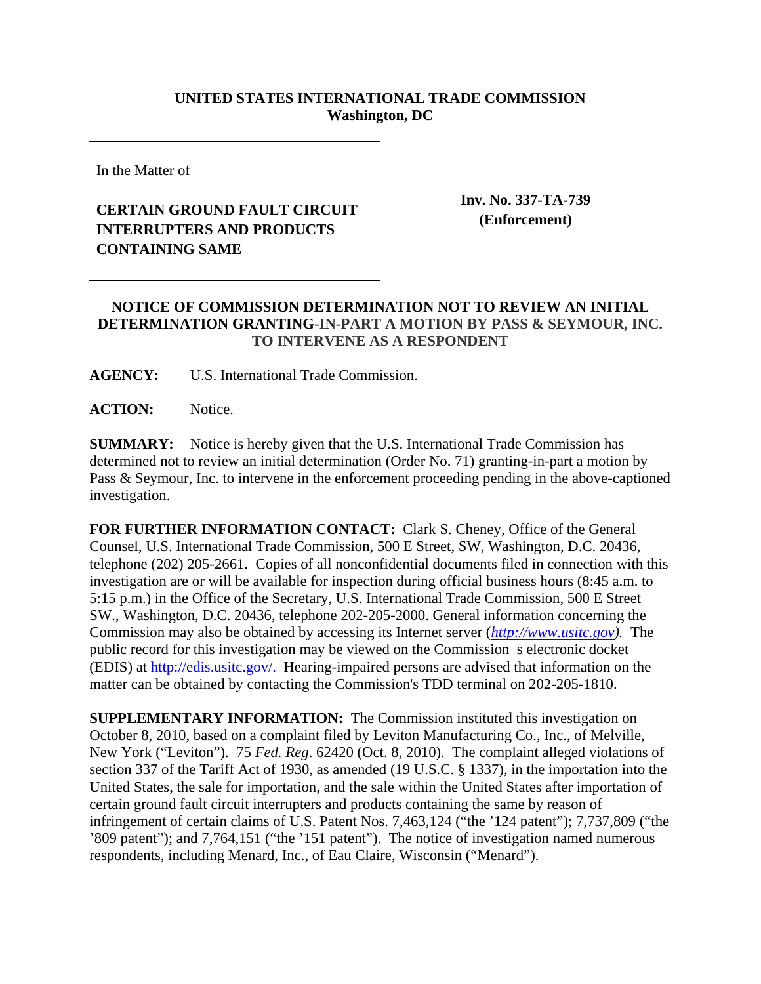## **UNITED STATES INTERNATIONAL TRADE COMMISSION Washington, DC**

In the Matter of

## **CERTAIN GROUND FAULT CIRCUIT INTERRUPTERS AND PRODUCTS CONTAINING SAME**

**Inv. No. 337-TA-739 (Enforcement)**

## **NOTICE OF COMMISSION DETERMINATION NOT TO REVIEW AN INITIAL DETERMINATION GRANTING-IN-PART A MOTION BY PASS & SEYMOUR, INC. TO INTERVENE AS A RESPONDENT**

**AGENCY:** U.S. International Trade Commission.

**ACTION:** Notice.

**SUMMARY:** Notice is hereby given that the U.S. International Trade Commission has determined not to review an initial determination (Order No. 71) granting-in-part a motion by Pass & Seymour, Inc. to intervene in the enforcement proceeding pending in the above-captioned investigation.

**FOR FURTHER INFORMATION CONTACT:** Clark S. Cheney, Office of the General Counsel, U.S. International Trade Commission, 500 E Street, SW, Washington, D.C. 20436, telephone (202) 205-2661. Copies of all nonconfidential documents filed in connection with this investigation are or will be available for inspection during official business hours (8:45 a.m. to 5:15 p.m.) in the Office of the Secretary, U.S. International Trade Commission, 500 E Street SW., Washington, D.C. 20436, telephone 202-205-2000. General information concerning the Commission may also be obtained by accessing its Internet server (*http://www.usitc.gov).* The public record for this investigation may be viewed on the Commission s electronic docket (EDIS) at http://edis.usitc.gov/. Hearing-impaired persons are advised that information on the matter can be obtained by contacting the Commission's TDD terminal on 202-205-1810.

**SUPPLEMENTARY INFORMATION:** The Commission instituted this investigation on October 8, 2010, based on a complaint filed by Leviton Manufacturing Co., Inc., of Melville, New York ("Leviton"). 75 *Fed. Reg*. 62420 (Oct. 8, 2010). The complaint alleged violations of section 337 of the Tariff Act of 1930, as amended (19 U.S.C. § 1337), in the importation into the United States, the sale for importation, and the sale within the United States after importation of certain ground fault circuit interrupters and products containing the same by reason of infringement of certain claims of U.S. Patent Nos. 7,463,124 ("the '124 patent"); 7,737,809 ("the '809 patent"); and 7,764,151 ("the '151 patent"). The notice of investigation named numerous respondents, including Menard, Inc., of Eau Claire, Wisconsin ("Menard").